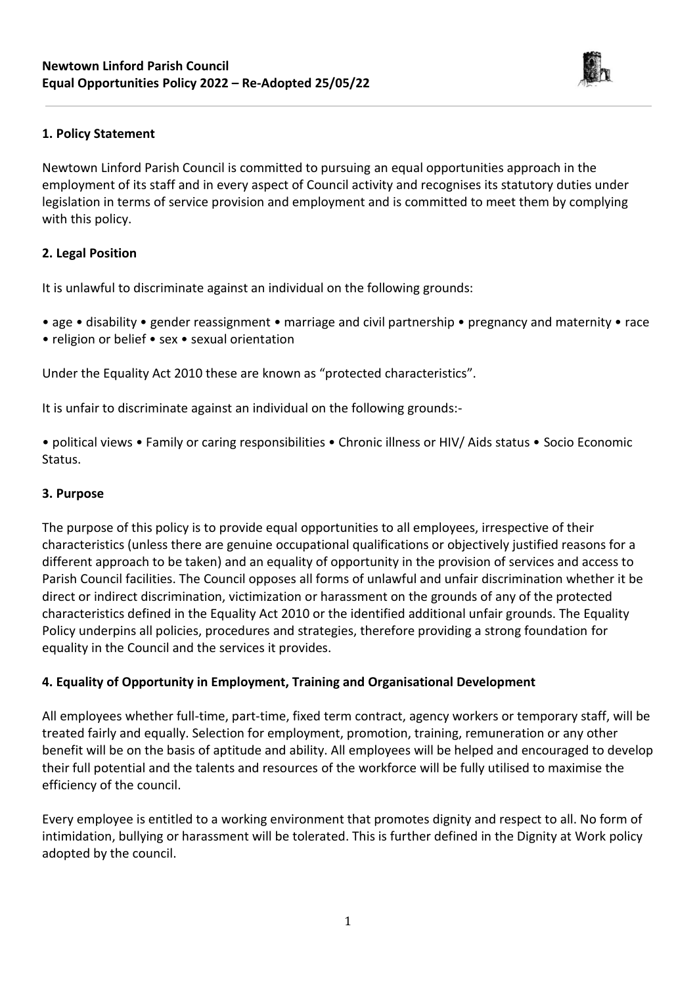

Newtown Linford Parish Council is committed to pursuing an equal opportunities approach in the employment of its staff and in every aspect of Council activity and recognises its statutory duties under legislation in terms of service provision and employment and is committed to meet them by complying with this policy.

# **2. Legal Position**

It is unlawful to discriminate against an individual on the following grounds:

- age disability gender reassignment marriage and civil partnership pregnancy and maternity race
- religion or belief sex sexual orientation

Under the Equality Act 2010 these are known as "protected characteristics".

It is unfair to discriminate against an individual on the following grounds:-

• political views • Family or caring responsibilities • Chronic illness or HIV/ Aids status • Socio Economic Status.

### **3. Purpose**

The purpose of this policy is to provide equal opportunities to all employees, irrespective of their characteristics (unless there are genuine occupational qualifications or objectively justified reasons for a different approach to be taken) and an equality of opportunity in the provision of services and access to Parish Council facilities. The Council opposes all forms of unlawful and unfair discrimination whether it be direct or indirect discrimination, victimization or harassment on the grounds of any of the protected characteristics defined in the Equality Act 2010 or the identified additional unfair grounds. The Equality Policy underpins all policies, procedures and strategies, therefore providing a strong foundation for equality in the Council and the services it provides.

# **4. Equality of Opportunity in Employment, Training and Organisational Development**

All employees whether full-time, part-time, fixed term contract, agency workers or temporary staff, will be treated fairly and equally. Selection for employment, promotion, training, remuneration or any other benefit will be on the basis of aptitude and ability. All employees will be helped and encouraged to develop their full potential and the talents and resources of the workforce will be fully utilised to maximise the efficiency of the council.

Every employee is entitled to a working environment that promotes dignity and respect to all. No form of intimidation, bullying or harassment will be tolerated. This is further defined in the Dignity at Work policy adopted by the council.